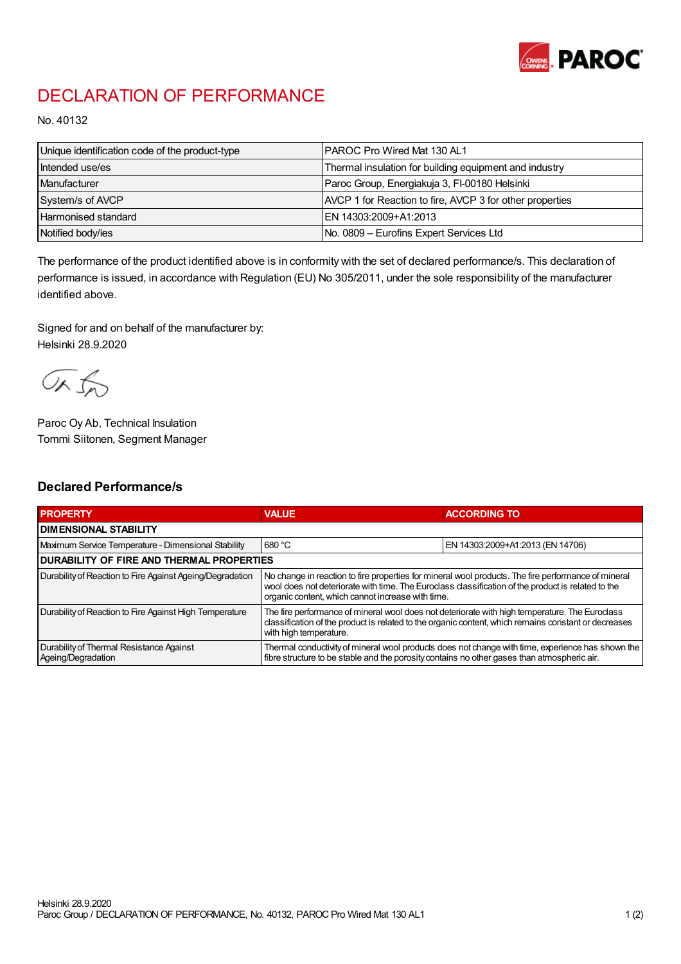

## DECLARATION OF PERFORMANCE

No. 40132

| Unique identification code of the product-type | PAROC Pro Wired Mat 130 AL1                              |
|------------------------------------------------|----------------------------------------------------------|
| Intended use/es                                | Thermal insulation for building equipment and industry   |
| Manufacturer                                   | Paroc Group, Energiakuja 3, FI-00180 Helsinki            |
| System/s of AVCP                               | AVCP 1 for Reaction to fire, AVCP 3 for other properties |
| Harmonised standard                            | EN 14303:2009+A1:2013                                    |
| Notified body/ies                              | No. 0809 – Eurofins Expert Services Ltd                  |

The performance of the product identified above is in conformity with the set of declared performance/s. This declaration of performance is issued, in accordance with Regulation (EU) No 305/2011, under the sole responsibility of the manufacturer identified above.

Signed for and on behalf of the manufacturer by: Helsinki 28.9.2020

ORJO

Paroc Oy Ab, Technical Insulation Tommi Siitonen, Segment Manager

## Declared Performance/s

| <b>PROPERTY</b>                                                | <b>VALUE</b>                                                                                                                                                                                                                                                   | <b>ACCORDING TO</b>              |  |
|----------------------------------------------------------------|----------------------------------------------------------------------------------------------------------------------------------------------------------------------------------------------------------------------------------------------------------------|----------------------------------|--|
| <b>I DIMENSIONAL STABILITY</b>                                 |                                                                                                                                                                                                                                                                |                                  |  |
| Maximum Service Temperature - Dimensional Stability            | 680 °C                                                                                                                                                                                                                                                         | EN 14303:2009+A1:2013 (EN 14706) |  |
| <b>DURABILITY OF FIRE AND THERMAL PROPERTIES</b>               |                                                                                                                                                                                                                                                                |                                  |  |
| Durability of Reaction to Fire Against Ageing/Degradation      | No change in reaction to fire properties for mineral wool products. The fire performance of mineral<br>wool does not deteriorate with time. The Euroclass classification of the product is related to the<br>organic content, which cannot increase with time. |                                  |  |
| Durability of Reaction to Fire Against High Temperature        | The fire performance of mineral wool does not deteriorate with high temperature. The Euroclass<br>classification of the product is related to the organic content, which remains constant or decreases<br>with high temperature.                               |                                  |  |
| Durability of Thermal Resistance Against<br>Ageing/Degradation | Thermal conductivity of mineral wool products does not change with time, experience has shown the<br>fibre structure to be stable and the porosity contains no other gases than atmospheric air.                                                               |                                  |  |